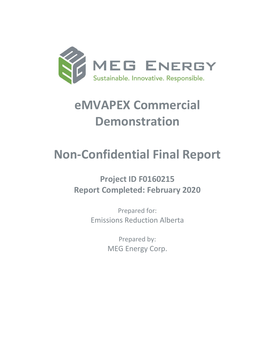

# **eMVAPEX Commercial Demonstration**

# **Non-Confidential Final Report**

# **Project ID F0160215 Report Completed: February 2020**

Prepared for: Emissions Reduction Alberta

> Prepared by: MEG Energy Corp.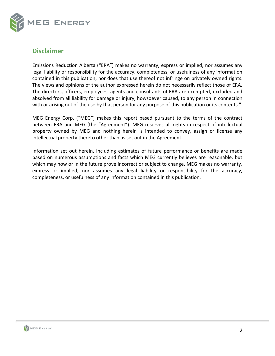

# **Disclaimer**

Emissions Reduction Alberta ("ERA") makes no warranty, express or implied, nor assumes any legal liability or responsibility for the accuracy, completeness, or usefulness of any information contained in this publication, nor does that use thereof not infringe on privately owned rights. The views and opinions of the author expressed herein do not necessarily reflect those of ERA. The directors, officers, employees, agents and consultants of ERA are exempted, excluded and absolved from all liability for damage or injury, howsoever caused, to any person in connection with or arising out of the use by that person for any purpose of this publication or its contents."

MEG Energy Corp. ("MEG") makes this report based pursuant to the terms of the contract between ERA and MEG (the "Agreement"). MEG reserves all rights in respect of intellectual property owned by MEG and nothing herein is intended to convey, assign or license any intellectual property thereto other than as set out in the Agreement.

Information set out herein, including estimates of future performance or benefits are made based on numerous assumptions and facts which MEG currently believes are reasonable, but which may now or in the future prove incorrect or subject to change. MEG makes no warranty, express or implied, nor assumes any legal liability or responsibility for the accuracy, completeness, or usefulness of any information contained in this publication.

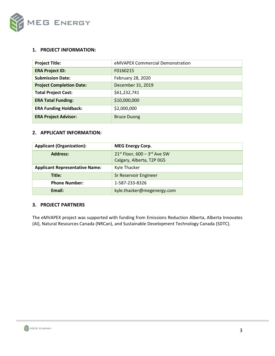

#### **1. PROJECT INFORMATION:**

| <b>Project Title:</b>           | eMVAPEX Commercial Demonstration |
|---------------------------------|----------------------------------|
| <b>ERA Project ID:</b>          | F0160215                         |
| <b>Submission Date:</b>         | February 28, 2020                |
| <b>Project Completion Date:</b> | December 31, 2019                |
| <b>Total Project Cost:</b>      | \$61,232,741                     |
| <b>ERA Total Funding:</b>       | \$10,000,000                     |
| <b>ERA Funding Holdback:</b>    | \$2,000,000                      |
| <b>ERA Project Advisor:</b>     | <b>Bruce Duong</b>               |

#### **2. APPLICANT INFORMATION:**

| <b>Applicant (Organization):</b>      | <b>MEG Energy Corp.</b>                                        |
|---------------------------------------|----------------------------------------------------------------|
| <b>Address:</b>                       | $21^{st}$ Floor, 600 - 3rd Ave SW<br>Calgary, Alberta, T2P 0G5 |
| <b>Applicant Representative Name:</b> | Kyle Thacker                                                   |
| Title:                                | Sr Reservoir Engineer                                          |
| <b>Phone Number:</b>                  | 1-587-233-8326                                                 |
| Email:                                | kyle.thacker@megenergy.com                                     |

### **3. PROJECT PARTNERS**

The eMVAPEX project was supported with funding from Emissions Reduction Alberta, Alberta Innovates (AI), Natural Resources Canada (NRCan), and Sustainable Development Technology Canada (SDTC).

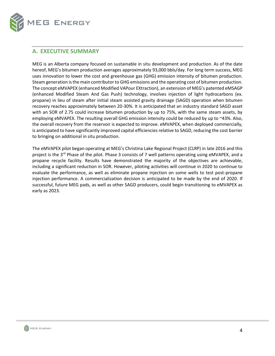

# <span id="page-3-0"></span>**A. EXECUTIVE SUMMARY**

MEG is an Alberta company focused on sustainable in situ development and production. As of the date hereof, MEG's bitumen production averages approximately 93,000 bbls/day. For long term success, MEG uses innovation to lower the cost and greenhouse gas (GHG) emission intensity of bitumen production. Steam generation is the main contributor to GHG emissions and the operating cost of bitumen production. The concept eMVAPEX (enhanced Modified VAPour EXtraction), an extension of MEG's patented eMSAGP (enhanced Modified Steam And Gas Push) technology, involves injection of light hydrocarbons (ex. propane) in lieu of steam after initial steam assisted gravity drainage (SAGD) operation when bitumen recovery reaches approximately between 20-30%. It is anticipated that an industry standard SAGD asset with an SOR of 2.75 could increase bitumen production by up to 75%, with the same steam assets, by employing eMVAPEX. The resulting overall GHG emission intensity could be reduced by up to ~43%. Also, the overall recovery from the reservoir is expected to improve. eMVAPEX, when deployed commercially, is anticipated to have significantly improved capital efficiencies relative to SAGD, reducing the cost barrier to bringing on additional in situ production.

The eMVAPEX pilot began operating at MEG's Christina Lake Regional Project (CLRP) in late 2016 and this project is the 3<sup>rd</sup> Phase of the pilot. Phase 3 consists of 7 well patterns operating using eMVAPEX, and a propane recycle facility. Results have demonstrated the majority of the objectives are achievable, including a significant reduction in SOR. However, piloting activities will continue in 2020 to continue to evaluate the performance, as well as eliminate propane injection on some wells to test post-propane injection performance. A commercialization decision is anticipated to be made by the end of 2020. If successful, future MEG pads, as well as other SAGD producers, could begin transitioning to eMVAPEX as early as 2023.

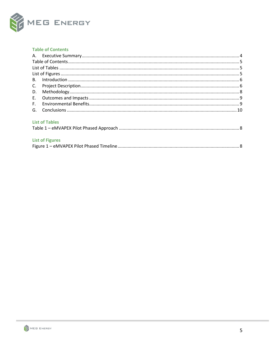

#### <span id="page-4-0"></span>**Table of Contents**

| <b>List of Tables</b> |  |
|-----------------------|--|
|                       |  |

### <span id="page-4-2"></span><span id="page-4-1"></span>**List of Figures**

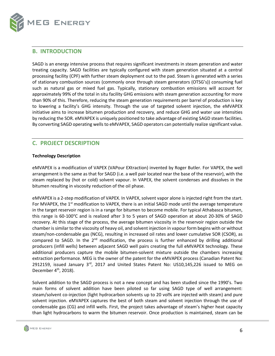

### <span id="page-5-0"></span>**B. INTRODUCTION**

SAGD is an energy intensive process that requires significant investments in steam generation and water treating capacity. SAGD facilities are typically configured with steam generation situated at a central processing facility (CPF) with further steam deployment out to the pad. Steam is generated with a series of stationary combustion sources (commonly once through steam generators (OTSG's)) consuming fuel such as natural gas or mixed fuel gas. Typically, stationary combustion emissions will account for approximately 99% of the total in situ facility GHG emissions with steam generation accounting for more than 90% of this. Therefore, reducing the steam generation requirements per barrel of production is key to lowering a facility's GHG intensity. Through the use of targeted solvent injection, the eMVAPEX initiative aims to increase bitumen production and recovery, and reduce GHG and water use intensities by reducing the SOR. eMVAPEX is uniquely positioned to take advantage of existing SAGD steam facilities. By converting SAGD operating wells to eMVAPEX, SAGD operators can potentially realize significant value.

# <span id="page-5-1"></span>**C. PROJECT DESCRIPTION**

#### **Technology Description**

eMVAPEX is a modification of VAPEX (VAPour EXtraction) invented by Roger Butler. For VAPEX, the well arrangement is the same as that for SAGD (i.e. a well pair located near the base of the reservoir), with the steam replaced by (hot or cold) solvent vapour. In VAPEX, the solvent condenses and dissolves in the bitumen resulting in viscosity reduction of the oil phase.

eMVAPEX is a 2-step modification of VAPEX. In VAPEX, solvent vapor alone isinjected right from the start. For MVAPEX, the 1<sup>st</sup> modification to VAPEX, there is an initial SAGD mode until the average temperature in the target reservoir region is in a range for bitumen to become mobile. For typical Athabasca bitumen, this range is 60-100°C and is realized after 3 to 5 years of SAGD operation at about 20-30% of SAGD recovery. At this stage of the process, the average bitumen viscosity in the reservoir region outside the chamber is similar to the viscosity of heavy oil, and solvent injection in vapour form begins with or without steam/non-condensable gas (NCG), resulting in increased oil rates and lower cumulative SOR (CSOR), as compared to SAGD. In the  $2<sup>nd</sup>$  modification, the process is further enhanced by drilling additional producers (infill wells) between adjacent SAGD well pairs creating the full eMVAPEX technology. These additional producers capture the mobile bitumen-solvent mixture outside the chambers increasing extraction performance. MEG is the owner of the patent for the eMVAPEX process (Canadian Patent No: 2912159, issued January 3<sup>rd</sup>, 2017 and United States Patent No: US10,145,226 issued to MEG on December  $4<sup>th</sup>$ , 2018).

Solvent addition to the SAGD process is not a new concept and has been studied since the 1990's. Two main forms of solvent addition have been piloted so far using SAGD type of well arrangement: steam/solvent co-injection (light hydrocarbon solvents up to 20 vol% are injected with steam) and pure solvent injection. eMVAPEX captures the best of both steam and solvent injection through the use of condensable gas (CG) and infill wells. First, the project takes advantage of steam's higher heat capacity than light hydrocarbons to warm the bitumen reservoir. Once production is maintained, steam can be

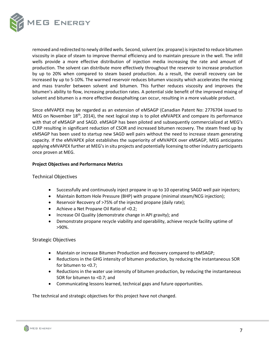

removed and redirected to newly drilled wells. Second, solvent (ex. propane) is injected to reduce bitumen viscosity in place of steam to improve thermal efficiency and to maintain pressure in the well. The infill wells provide a more effective distribution of injection media increasing the rate and amount of production. The solvent can distribute more effectively throughout the reservoir to increase production by up to 20% when compared to steam based production. As a result, the overall recovery can be increased by up to 5-10%. The warmed reservoir reduces bitumen viscosity which accelerates the mixing and mass transfer between solvent and bitumen. This further reduces viscosity and improves the bitumen's ability to flow, increasing production rates. A potential side benefit of the improved mixing of solvent and bitumen is a more effective deasphalting can occur, resulting in a more valuable product.

Since eMVAPEX may be regarded as an extension of eMSAGP (Canadian Patent No: 2776704 issued to MEG on November 18<sup>th</sup>, 2014), the next logical step is to pilot eMVAPEX and compare its performance with that of eMSAGP and SAGD. eMSAGP has been piloted and subsequently commercialized at MEG's CLRP resulting in significant reduction of CSOR and increased bitumen recovery. The steam freed up by eMSAGP has been used to startup new SAGD well pairs without the need to increase steam generating capacity. If the eMVAPEX pilot establishes the superiority of eMVAPEX over eMSAGP, MEG anticipates applying eMVAPEX further at MEG's in situ projects and potentially licensing to other industry participants once proven at MEG.

#### **Project Objectives and Performance Metrics**

#### Technical Objectives

- Successfully and continuously inject propane in up to 10 operating SAGD well pair injectors;
- Maintain Bottom Hole Pressure (BHP) with propane (minimal steam/NCG injection);
- Reservoir Recovery of >75% of the injected propane (daily rate);
- Achieve a Net Propane Oil Ratio of <0.2;
- Increase Oil Quality (demonstrate change in API gravity); and
- Demonstrate propane recycle viability and operability, achieve recycle facility uptime of >90%.

#### Strategic Objectives

- Maintain or increase Bitumen Production and Recovery compared to eMSAGP;
- Reductions in the GHG intensity of bitumen production, by reducing the instantaneous SOR for bitumen to <0.7;
- Reductions in the water use intensity of bitumen production, by reducing the instantaneous SOR for bitumen to <0.7; and
- Communicating lessons learned, technical gaps and future opportunities.

The technical and strategic objectives for this project have not changed.

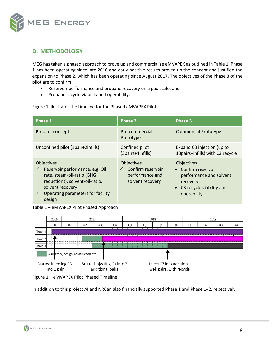

# <span id="page-7-0"></span>**D. METHODOLOGY**

MEG has taken a phased approach to prove up and commercialize eMVAPEX as outlined in Table 1. Phase 1 has been operating since late 2016 and early positive results proved up the concept and justified the expansion to Phase 2, which has been operating since August 2017. The objectives of the Phase 3 of the pilot are to confirm:

- Reservoir performance and propane recovery on a pad scale; and
- Propane recycle viability and operability.

Figure 1 illustrates the timeline for the Phased eMVAPEX Pilot.

| Phase 1                                                                                                                                                                                                                  | <b>Phase 2</b>                                                                                | <b>Phase 3</b>                                                                                                               |
|--------------------------------------------------------------------------------------------------------------------------------------------------------------------------------------------------------------------------|-----------------------------------------------------------------------------------------------|------------------------------------------------------------------------------------------------------------------------------|
| Proof of concept                                                                                                                                                                                                         | Pre-commercial<br>Prototype                                                                   | <b>Commercial Prototype</b>                                                                                                  |
| Unconfined pilot (1pair+2infills)                                                                                                                                                                                        | Confined pilot<br>(3pairs+4infills)                                                           | Expand C3 injection (up to<br>10pairs+infills) with C3 recycle                                                               |
| <b>Objectives</b><br>Reservoir performance, e.g. Oil<br>$\checkmark$<br>rate, steam-oil-ratio (GHG<br>reductions), solvent-oil-ratio,<br>solvent recovery<br>Operating parameters for facility<br>$\checkmark$<br>design | <b>Objectives</b><br>Confirm reservoir<br>$\checkmark$<br>performance and<br>solvent recovery | <b>Objectives</b><br>• Confirm reservoir<br>performance and solvent<br>recovery<br>• C3 recycle viability and<br>operability |

<span id="page-7-1"></span>Table 1 – eMVAPEX Pilot Phased Approach



<span id="page-7-2"></span>Figure 1 – eMVAPEX Pilot Phased Timeline

In addition to this project AI and NRCan also financially supported Phase 1 and Phase 1+2, repectively.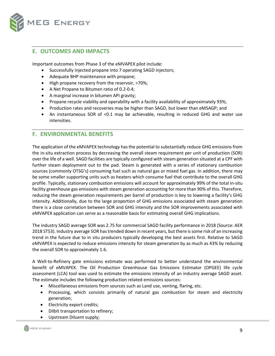

# <span id="page-8-0"></span>**E. OUTCOMES AND IMPACTS**

Important outcomes from Phase 3 of the eMVAPEX pilot include:

- Successfully injected propane into 7 operating SAGD injectors;
- Adequate BHP maintenance with propane;
- High propane recovery from the reservoir, >70%;
- A Net Propane to Bitumen ratio of 0.2-0.4;
- A marginal increase in bitumen API gravity;
- Propane recycle viability and operability with a facility availability of approximately 93%;
- Production rates and recoveries may be higher than SAGD, but lower than eMSAGP; and
- An instantaneous SOR of <0.1 may be achievable, resulting in reduced GHG and water use intensities.

## <span id="page-8-1"></span>**F. ENVIRONMENTAL BENEFITS**

The application of the eMVAPEX technology has the potential to substantially reduce GHG emissions from the in-situ extraction process by decreasing the overall steam requirement per unit of production (SOR) over the life of a well. SAGD facilities are typically configured with steam generation situated at a CPF with further steam deployment out to the pad. Steam is generated with a series of stationary combustion sources (commonly OTSG's) consuming fuel such as natural gas or mixed fuel gas. In addition, there may be some smaller supporting units such as heaters which consume fuel that contribute to the overall GHG profile. Typically, stationary combustion emissions will account for approximately 99% of the total in-situ facility greenhouse gas emissions with steam generation accounting for more than 90% of this. Therefore, reducing the steam generation requirements per barrel of production is key to lowering a facility's GHG intensity. Additionally, due to the large proportion of GHG emissions associated with steam generation there is a close correlation between SOR and GHG intensity and the SOR improvements associated with eMVAPEX application can serve as a reasonable basis for estimating overall GHG implications.

The industry SAGD average SOR was 2.75 for commercial SAGD facility performance in 2018 (Source: AER 2018 ST53). Industry average SOR has trended down in recent years, but there is some risk of an increasing trend in the future due to in situ producers typically developing the best assets first. Relative to SAGD eMVAPEX is expected to reduce emissions intensity for steam generation by as much as 43% by reducing the overall SOR to approximately 1.6.

A Well-to-Refinery gate emissions estimate was performed to better understand the environmental benefit of eMVAPEX. The Oil Production Greenhouse Gas Emissions Estimator (OPGEE) life cycle assessment (LCA) tool was used to estimate the emissions intensity of an industry average SAGD asset. The estimate includes the following production related emissions sources:

- Miscellaneous emissions from sources such as Land use, venting, flaring, etc.
- Processing, which consists primarily of natural gas combustion for steam and electricity generation;
- Electricity export credits;
- Dilbit transportation to refinery;
- Upstream Diluent supply;